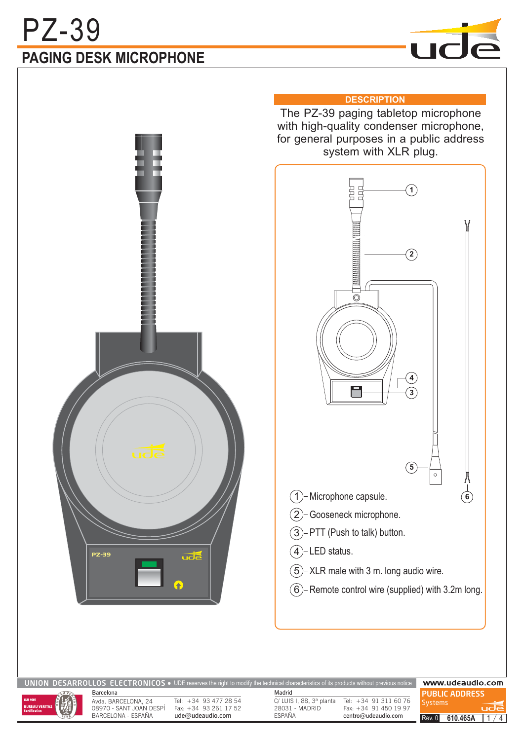# **PAGING DESK MICROPHONE** PZ-39





### **DESCRIPTION**

The PZ-39 paging tabletop microphone with high-quality condenser microphone, for general purposes in a public address system with XLR plug.



| UNION DESARROLLOS ELECTRONICOS • UDE reserves the right to modify the technical characteristics of its products without previous notice |                                                                                                                 |                  |                                                     |                                                  | www.udeaudio.com                               |  |
|-----------------------------------------------------------------------------------------------------------------------------------------|-----------------------------------------------------------------------------------------------------------------|------------------|-----------------------------------------------------|--------------------------------------------------|------------------------------------------------|--|
| ISO 9001<br>$\left(\frac{1}{\sqrt{2}}\right)$<br><b>BUREAU VERITAS</b><br>Certification                                                 | Barcelona<br>Avda. BARCELONA, 24<br>Tel: +34 93 477 28 54<br>Fax: $+34$ 93 261 17 52<br>08970 - SANT JOAN DESPI |                  | Madrid<br>C/LUIS I, 88, 3ª planta<br>28031 - MADRID | Tel: +34 91 311 60 76<br>Fax: $+34$ 91 450 19 97 | <b>PUBLIC ADDRESS</b><br><b>Systems</b><br>udē |  |
|                                                                                                                                         | BARCELONA - ESPAÑA                                                                                              | ude@udeaudio.com | <b>ESPAÑA</b>                                       | centro@udeaudio.com                              | 610.465A<br>Rev. 0                             |  |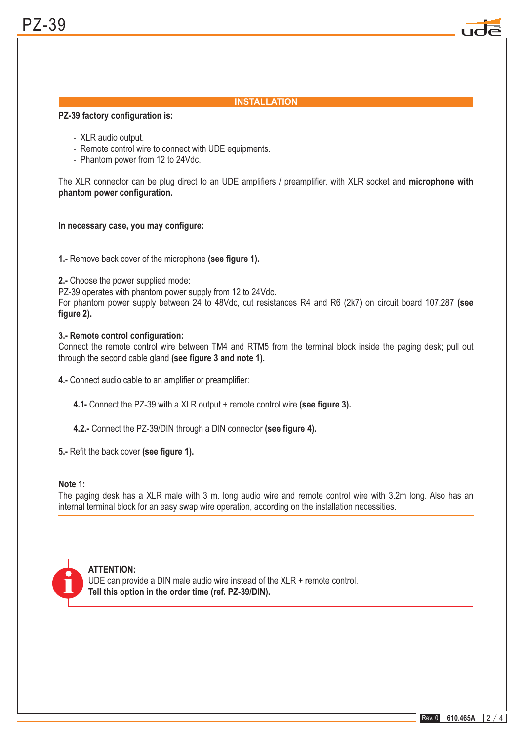

### **INSTALLATION**

#### **PZ-39 factory configuration is:**

- XLR audio output.
- Remote control wire to connect with UDE equipments.
- Phantom power from 12 to 24Vdc.

The XLR connector can be plug direct to an UDE amplifiers / preamplifier, with XLR socket and **microphone with phantom power configuration.**

#### **In necessary case, you may configure:**

**1.-** Remove back cover of the microphone (see figure 1).

**2.-** Choose the power supplied mode:

PZ-39 operates with phantom power supply from 12 to 24Vdc.

For phantom power supply between 24 to 48Vdc, cut resistances R4 and R6 (2k7) on circuit board 107.287 **(see figure 2).**

#### **3.- Remote control configuration:**

through the second cable gland (see figure 3 and note 1). Connect the remote control wire between TM4 and RTM5 from the terminal block inside the paging desk; pull out

**4.-** Connect audio cable to an amplifier or preamplifier:

**4.1-** Connect the PZ-39 with a XLR output + remote control wire (see figure 3).

4.2.- Connect the PZ-39/DIN through a DIN connector (see figure 4).

**5.-** Refit the back cover (see figure 1).

#### **Note 1:**

The paging desk has a XLR male with 3 m. long audio wire and remote control wire with 3.2m long. Also has an internal terminal block for an easy swap wire operation, according on the installation necessities.



#### **ATTENTION:**

**Tell this option in the order time (ref. PZ-39/DIN).** UDE can provide a DIN male audio wire instead of the XLR + remote control.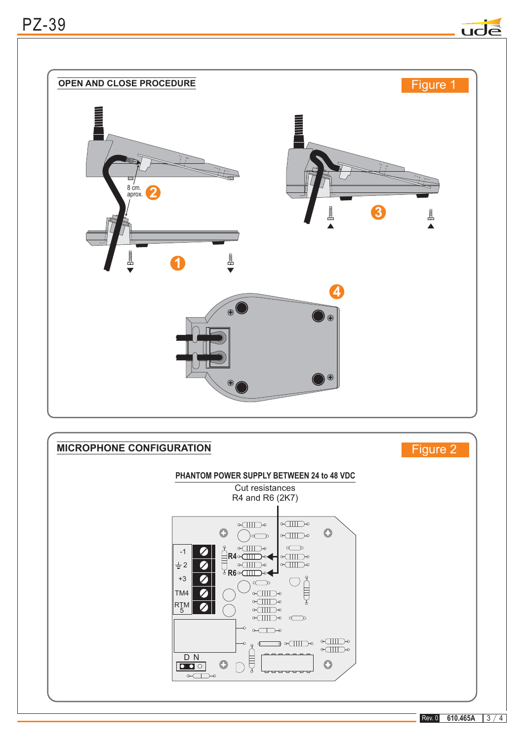## PZ-39





Rev. 0 **610.465A**  $3/4$